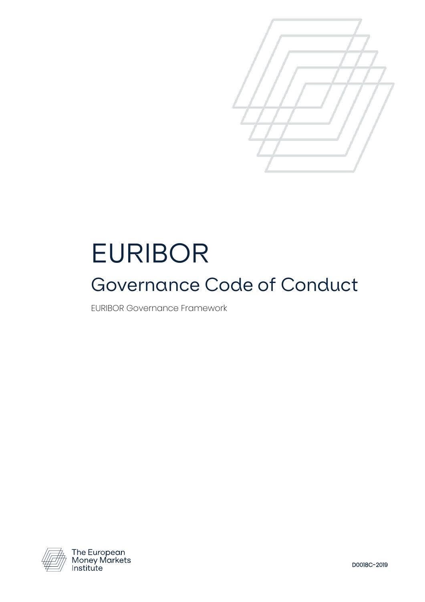

# EURIBOR Governance Code of Conduct

EURIBOR Governance Framework



The European<br>Money Markets Institute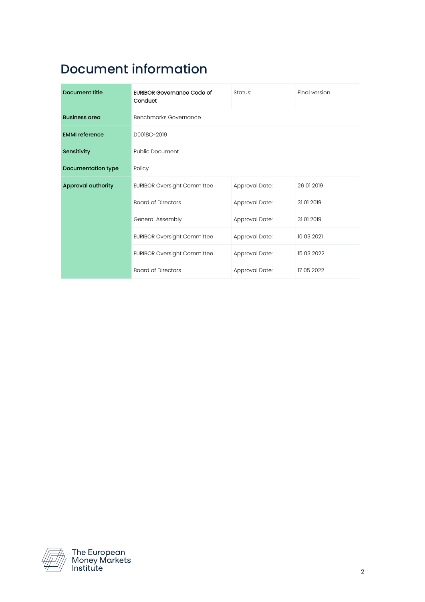## Document information

| Document title        | <b>EURIBOR Governance Code of</b><br>Conduct | Status:        | Final version |
|-----------------------|----------------------------------------------|----------------|---------------|
| <b>Business area</b>  | Benchmarks Governance                        |                |               |
| <b>EMMI</b> reference | D0018C-2019                                  |                |               |
| Sensitivity           | <b>Public Document</b>                       |                |               |
| Documentation type    | Policy                                       |                |               |
| Approval authority    | <b>EURIBOR Oversight Committee</b>           | Approval Date: | 26 01 2019    |
|                       | <b>Board of Directors</b>                    | Approval Date: | 31012019      |
|                       | General Assembly                             | Approval Date: | 31 01 2019    |
|                       | <b>EURIBOR Oversight Committee</b>           | Approval Date: | 10 03 2021    |
|                       | <b>EURIBOR Oversight Committee</b>           | Approval Date: | 15 03 2022    |
|                       | <b>Board of Directors</b>                    | Approval Date: | 17 05 2022    |



The European<br>Money Markets<br>Institute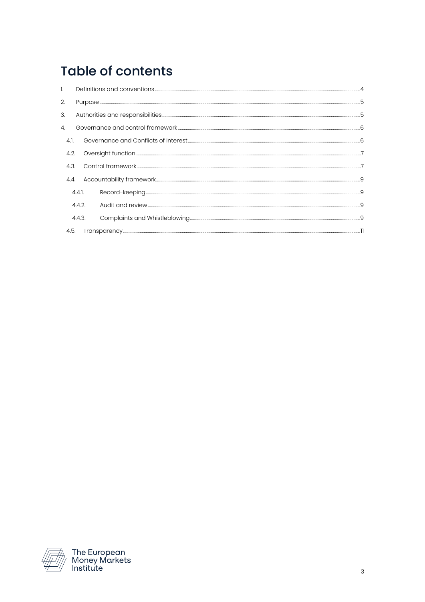# **Table of contents**

| 2.   |        |    |
|------|--------|----|
| 3.   |        | .5 |
| 4.   |        |    |
| 41   |        |    |
| 4.2. |        |    |
| 4.3. |        |    |
| 4.4. |        |    |
|      | 4.4.1. |    |
|      | 4.4.2. |    |
|      | 4.4.3. |    |
| 4.5. |        |    |

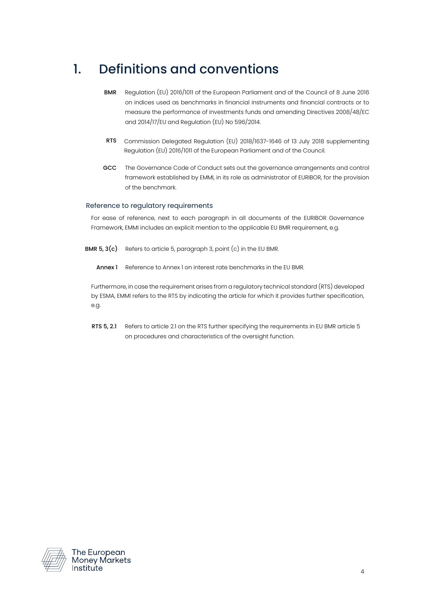## <span id="page-3-0"></span>1. Definitions and conventions

- BMR Regulation (EU) 2016/1011 of the European Parliament and of the Council of 8 June 2016 on indices used as benchmarks in financial instruments and financial contracts or to measure the performance of investments funds and amending Directives 2008/48/EC and 2014/17/EU and Regulation (EU) No 596/2014.
- RTS Commission Delegated Regulation (EU) 2018/1637-1646 of 13 July 2018 supplementing Regulation (EU) 2016/1011 of the European Parliament and of the Council.
- GCC The Governance Code of Conduct sets out the governance arrangements and control framework established by EMMI, in its role as administrator of EURIBOR, for the provision of the benchmark.

#### Reference to regulatory requirements

For ease of reference, next to each paragraph in all documents of the EURIBOR Governance Framework, EMMI includes an explicit mention to the applicable EU BMR requirement, e.g.

- **BMR 5, 3(c)** Refers to article 5, paragraph 3, point  $(c)$  in the EU BMR.
	- Annex 1 Reference to Annex 1 on interest rate benchmarks in the EU BMR.

Furthermore, in case the requirement arises from a regulatory technical standard (RTS) developed by ESMA, EMMI refers to the RTS by indicating the article for which it provides further specification, e.g.

RTS 5, 2.1 Refers to article 2.1 on the RTS further specifying the requirements in EU BMR article 5 on procedures and characteristics of the oversight function.



The European<br>Money Markets Institute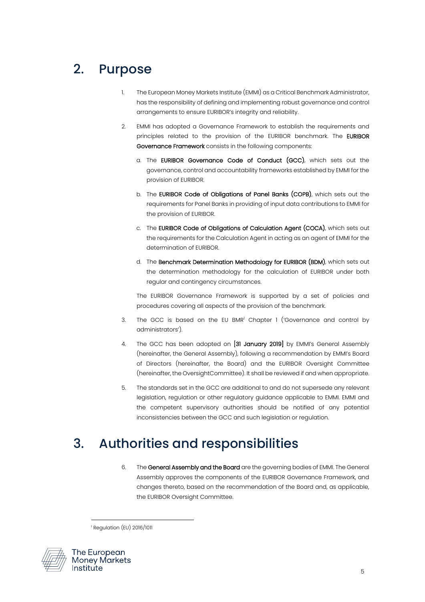# <span id="page-4-0"></span>2. Purpose

- 1. The European Money Markets Institute (EMMI) as a Critical Benchmark Administrator, has the responsibility of defining and implementing robust governance and control arrangements to ensure EURIBOR's integrity and reliability.
- 2. EMMI has adopted a Governance Framework to establish the requirements and principles related to the provision of the EURIBOR benchmark. The EURIBOR Governance Framework consists in the following components:
	- a. The EURIBOR Governance Code of Conduct (GCC), which sets out the governance, control and accountability frameworks established by EMMI for the provision of EURIBOR.
	- b. The EURIBOR Code of Obligations of Panel Banks (COPB), which sets out the requirements for Panel Banks in providing of input data contributions to EMMI for the provision of EURIBOR.
	- c. The EURIBOR Code of Obligations of Calculation Agent (COCA), which sets out the requirements for the Calculation Agent in acting as an agent of EMMI for the determination of EURIBOR.
	- d. The Benchmark Determination Methodology for EURIBOR (BDM), which sets out the determination methodology for the calculation of EURIBOR under both regular and contingency circumstances.

The EURIBOR Governance Framework is supported by a set of policies and procedures covering all aspects of the provision of the benchmark.

- 3. The GCC is based on the EU BMR<sup>1</sup> Chapter 1 ('Governance and control by administrators').
- 4. The GCC has been adopted on [31 January 2019] by EMMI's General Assembly (hereinafter, the General Assembly), following a recommendation by EMMI's Board of Directors (hereinafter, the Board) and the EURIBOR Oversight Committee (hereinafter, the OversightCommittee). It shall be reviewed if and when appropriate.
- 5. The standards set in the GCC are additional to and do not supersede any relevant legislation, regulation or other regulatory guidance applicable to EMMI. EMMI and the competent supervisory authorities should be notified of any potential inconsistencies between the GCC and such legislation or regulation.

## <span id="page-4-1"></span>3. Authorities and responsibilities

6. The General Assembly and the Board are the governing bodies of EMMI. The General Assembly approves the components of the EURIBOR Governance Framework, and changes thereto, based on the recommendation of the Board and, as applicable, the EURIBOR Oversight Committee.

<sup>1</sup> Regulation (EU) 2016/1011



The European **Money Markets** Institute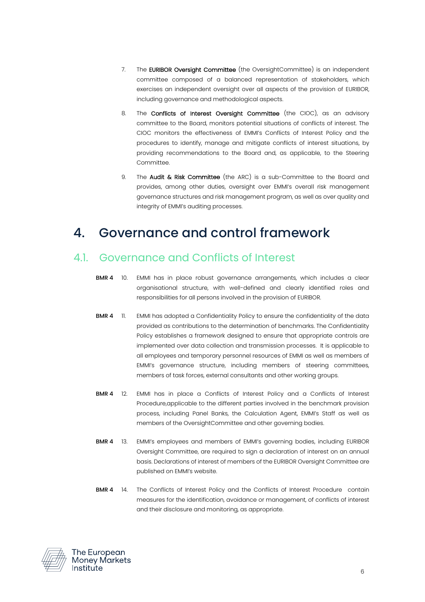- 7. The EURIBOR Oversight Committee (the OversightCommittee) is an independent committee composed of a balanced representation of stakeholders, which exercises an independent oversight over all aspects of the provision of EURIBOR, including governance and methodological aspects.
- 8. The **Conflicts of Interest Oversight Committee** (the CIOC), as an advisory committee to the Board, monitors potential situations of conflicts of interest. The CIOC monitors the effectiveness of EMMI's Conflicts of Interest Policy and the procedures to identify, manage and mitigate conflicts of interest situations, by providing recommendations to the Board and, as applicable, to the Steering Committee.
- 9. The **Audit & Risk Committee** (the ARC) is a sub-Committee to the Board and provides, among other duties, oversight over EMMI's overall risk management governance structures and risk management program, as well as over quality and integrity of EMMI's auditing processes.

## <span id="page-5-0"></span>4. Governance and control framework

#### <span id="page-5-1"></span>4.1. Governance and Conflicts of Interest

- BMR 4 10. EMMI has in place robust governance arrangements, which includes a clear organisational structure, with well-defined and clearly identified roles and responsibilities for all persons involved in the provision of EURIBOR.
- BMR 4 11. EMMI has adopted a Confidentiality Policy to ensure the confidentiality of the data provided as contributions to the determination of benchmarks. The Confidentiality Policy establishes a framework designed to ensure that appropriate controls are implemented over data collection and transmission processes. It is applicable to all employees and temporary personnel resources of EMMI as well as members of EMMI's governance structure, including members of steering committees, members of task forces, external consultants and other working groups.
- BMR 4 12. EMMI has in place a Conflicts of Interest Policy and a Conflicts of Interest Procedure,applicable to the different parties involved in the benchmark provision process, including Panel Banks, the Calculation Agent, EMMI's Staff as well as members of the OversightCommittee and other governing bodies.
- BMR 4 13. EMMI's employees and members of EMMI's governing bodies, including EURIBOR Oversight Committee, are required to sign a declaration of interest on an annual basis. Declarations of interest of members of the EURIBOR Oversight Committee are published on EMMI's website.
- BMR 4 14. The Conflicts of Interest Policy and the Conflicts of Interest Procedure contain measures for the identification, avoidance or management, of conflicts of interest and their disclosure and monitoring, as appropriate.

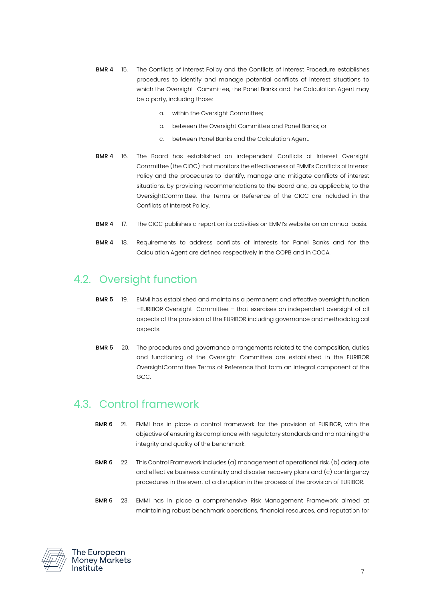- BMR 4 15. The Conflicts of Interest Policy and the Conflicts of Interest Procedure establishes procedures to identify and manage potential conflicts of interest situations to which the Oversight Committee, the Panel Banks and the Calculation Agent may be a party, including those:
	- a. within the Oversight Committee;
	- b. between the Oversight Committee and Panel Banks; or
	- c. between Panel Banks and the Calculation Agent.
- BMR 4 16. The Board has established an independent Conflicts of Interest Oversight Committee (the CIOC) that monitors the effectiveness of EMMI's Conflicts of Interest Policy and the procedures to identify, manage and mitigate conflicts of interest situations, by providing recommendations to the Board and, as applicable, to the OversightCommittee. The Terms or Reference of the CIOC are included in the Conflicts of Interest Policy.
- **BMR 4** 17. The CIOC publishes a report on its activities on EMMI's website on an annual basis.
- BMR 4 18. Requirements to address conflicts of interests for Panel Banks and for the Calculation Agent are defined respectively in the COPB and in COCA.

#### <span id="page-6-0"></span>4.2. Oversight function

- BMR 5 19. EMMI has established and maintains a permanent and effective oversight function –EURIBOR Oversight Committee – that exercises an independent oversight of all aspects of the provision of the EURIBOR including governance and methodological aspects.
- BMR 5 20. The procedures and governance arrangements related to the composition, duties and functioning of the Oversight Committee are established in the EURIBOR OversightCommittee Terms of Reference that form an integral component of the GCC.

#### <span id="page-6-1"></span>4.3. Control framework

- BMR 6 21. EMMI has in place a control framework for the provision of EURIBOR, with the objective of ensuring its compliance with regulatory standards and maintaining the integrity and quality of the benchmark.
- **BMR 6** 22. This Control Framework includes  $(a)$  management of operational risk,  $(b)$  adequate and effective business continuity and disaster recovery plans and (c) contingency procedures in the event of a disruption in the process of the provision of EURIBOR.
- BMR 6 23. EMMI has in place a comprehensive Risk Management Framework aimed at maintaining robust benchmark operations, financial resources, and reputation for

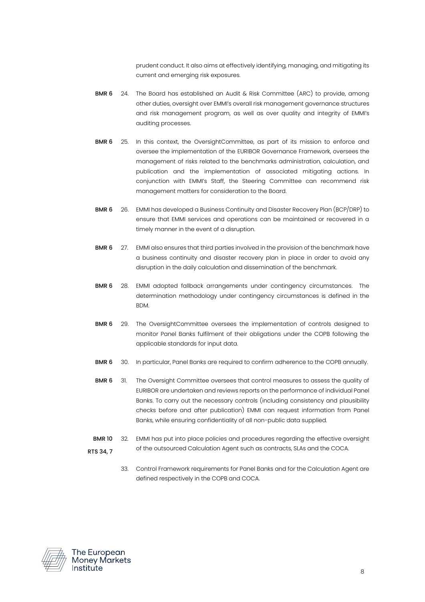prudent conduct. It also aims at effectively identifying, managing, and mitigating its current and emerging risk exposures.

- BMR 6 24. The Board has established an Audit & Risk Committee (ARC) to provide, among other duties, oversight over EMMI's overall risk management governance structures and risk management program, as well as over quality and integrity of EMMI's auditing processes.
- BMR 6 25. In this context, the OversightCommittee, as part of its mission to enforce and oversee the implementation of the EURIBOR Governance Framework, oversees the management of risks related to the benchmarks administration, calculation, and publication and the implementation of associated mitigating actions. In conjunction with EMMI's Staff, the Steering Committee can recommend risk management matters for consideration to the Board.
- BMR 6 26. EMMI has developed a Business Continuity and Disaster Recovery Plan (BCP/DRP) to ensure that EMMI services and operations can be maintained or recovered in a timely manner in the event of a disruption.
- BMR 6 27. EMMI also ensures that third parties involved in the provision of the benchmark have a business continuity and disaster recovery plan in place in order to avoid any disruption in the daily calculation and dissemination of the benchmark.
- BMR 6 28. EMMI adopted fallback arrangements under contingency circumstances. The determination methodology under contingency circumstances is defined in the BDM.
- BMR 6 29. The OversightCommittee oversees the implementation of controls designed to monitor Panel Banks fulfilment of their obligations under the COPB following the applicable standards for input data.
- BMR 6 30. In particular, Panel Banks are required to confirm adherence to the COPB annually.
- BMR 6 31. The Oversight Committee oversees that control measures to assess the quality of EURIBOR are undertaken and reviews reports on the performance of individual Panel Banks. To carry out the necessary controls (including consistency and plausibility checks before and after publication) EMMI can request information from Panel Banks, while ensuring confidentiality of all non-public data supplied.
- BMR 10 RTS 34, 7 32. EMMI has put into place policies and procedures regarding the effective oversight of the outsourced Calculation Agent such as contracts, SLAs and the COCA.
	- 33. Control Framework requirements for Panel Banks and for the Calculation Agent are defined respectively in the COPB and COCA.

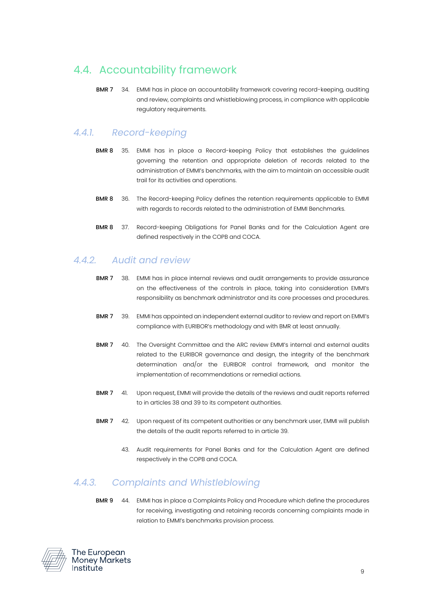### <span id="page-8-0"></span>4.4. Accountability framework

BMR 7 34. EMMI has in place an accountability framework covering record-keeping, auditing and review, complaints and whistleblowing process, in compliance with applicable regulatory requirements.

#### <span id="page-8-1"></span>*4.4.1. Record-keeping*

- BMR 8 35. EMMI has in place a Record-keeping Policy that establishes the guidelines governing the retention and appropriate deletion of records related to the administration of EMMI's benchmarks, with the aim to maintain an accessible audit trail for its activities and operations.
- BMR 8 36. The Record-keeping Policy defines the retention requirements applicable to EMMI with regards to records related to the administration of EMMI Benchmarks.
- BMR 8 37. Record-keeping Obligations for Panel Banks and for the Calculation Agent are defined respectively in the COPB and COCA.

#### <span id="page-8-2"></span>*4.4.2. Audit and review*

- <span id="page-8-4"></span>BMR 7 38. EMMI has in place internal reviews and audit arrangements to provide assurance on the effectiveness of the controls in place, taking into consideration EMMI's responsibility as benchmark administrator and its core processes and procedures.
- <span id="page-8-5"></span>BMR 7 39. EMMI has appointed an independent external auditor to review and report on EMMI's compliance with EURIBOR's methodology and with BMR at least annually.
- BMR 7 40. The Oversight Committee and the ARC review EMMI's internal and external audits related to the EURIBOR governance and design, the integrity of the benchmark determination and/or the EURIBOR control framework, and monitor the implementation of recommendations or remedial actions.
- BMR 7 41. Upon request, EMMI will provide the details of the reviews and audit reports referred to in article[s 38](#page-8-4) an[d 39](#page-8-5) to its competent authorities.
- BMR 7 42. Upon request of its competent authorities or any benchmark user, EMMI will publish the details of the audit reports referred to in article [39.](#page-8-5)
	- 43. Audit requirements for Panel Banks and for the Calculation Agent are defined respectively in the COPB and COCA.

#### <span id="page-8-3"></span>*4.4.3. Complaints and Whistleblowing*

BMR 9 44. EMMI has in place a Complaints Policy and Procedure which define the procedures for receiving, investigating and retaining records concerning complaints made in relation to EMMI's benchmarks provision process.

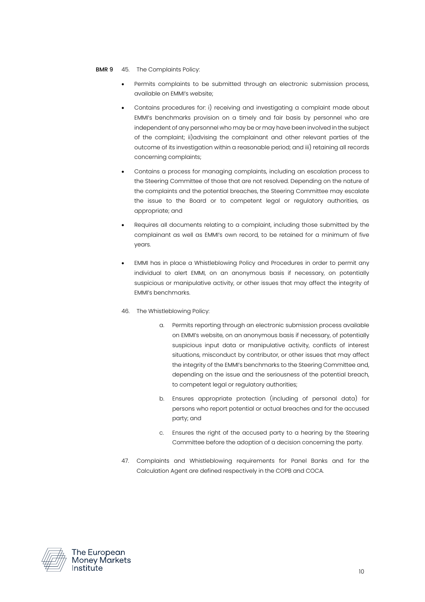#### **BMR 9** 45. The Complaints Policy:

- Permits complaints to be submitted through an electronic submission process, available on EMMI's website;
- Contains procedures for: i) receiving and investigating a complaint made about EMMI's benchmarks provision on a timely and fair basis by personnel who are independent of any personnel who may be or may have been involved in the subject of the complaint; ii)advising the complainant and other relevant parties of the outcome of its investigation within a reasonable period; and iii) retaining all records concerning complaints;
- Contains a process for managing complaints, including an escalation process to the Steering Committee of those that are not resolved. Depending on the nature of the complaints and the potential breaches, the Steering Committee may escalate the issue to the Board or to competent legal or regulatory authorities, as appropriate; and
- Requires all documents relating to a complaint, including those submitted by the complainant as well as EMMI's own record, to be retained for a minimum of five years.
- EMMI has in place a Whistleblowing Policy and Procedures in order to permit any individual to alert EMMI, on an anonymous basis if necessary, on potentially suspicious or manipulative activity, or other issues that may affect the integrity of EMMI's benchmarks.
- 46. The Whistleblowing Policy:
	- a. Permits reporting through an electronic submission process available on EMMI's website, on an anonymous basis if necessary, of potentially suspicious input data or manipulative activity, conflicts of interest situations, misconduct by contributor, or other issues that may affect the integrity of the EMMI's benchmarks to the Steering Committee and, depending on the issue and the seriousness of the potential breach, to competent legal or regulatory authorities;
	- b. Ensures appropriate protection (including of personal data) for persons who report potential or actual breaches and for the accused party; and
	- c. Ensures the right of the accused party to a hearing by the Steering Committee before the adoption of a decision concerning the party.
- 47. Complaints and Whistleblowing requirements for Panel Banks and for the Calculation Agent are defined respectively in the COPB and COCA.



The European Monev Markets Institute